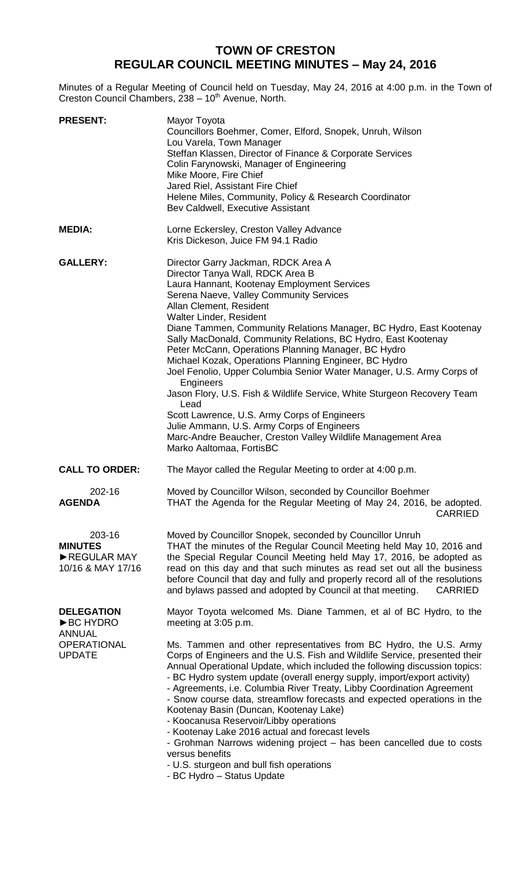## **TOWN OF CRESTON REGULAR COUNCIL MEETING MINUTES – May 24, 2016**

Minutes of a Regular Meeting of Council held on Tuesday, May 24, 2016 at 4:00 p.m. in the Town of Creston Council Chambers, 238 - 10<sup>th</sup> Avenue, North.

| <b>PRESENT:</b>                                              | Mayor Toyota<br>Councillors Boehmer, Comer, Elford, Snopek, Unruh, Wilson<br>Lou Varela, Town Manager<br>Steffan Klassen, Director of Finance & Corporate Services<br>Colin Farynowski, Manager of Engineering<br>Mike Moore, Fire Chief<br>Jared Riel, Assistant Fire Chief<br>Helene Miles, Community, Policy & Research Coordinator<br>Bev Caldwell, Executive Assistant                                                                                                                                                                                                                                                                                                                                                                                                                                                                       |
|--------------------------------------------------------------|---------------------------------------------------------------------------------------------------------------------------------------------------------------------------------------------------------------------------------------------------------------------------------------------------------------------------------------------------------------------------------------------------------------------------------------------------------------------------------------------------------------------------------------------------------------------------------------------------------------------------------------------------------------------------------------------------------------------------------------------------------------------------------------------------------------------------------------------------|
| <b>MEDIA:</b>                                                | Lorne Eckersley, Creston Valley Advance<br>Kris Dickeson, Juice FM 94.1 Radio                                                                                                                                                                                                                                                                                                                                                                                                                                                                                                                                                                                                                                                                                                                                                                     |
| <b>GALLERY:</b>                                              | Director Garry Jackman, RDCK Area A<br>Director Tanya Wall, RDCK Area B<br>Laura Hannant, Kootenay Employment Services<br>Serena Naeve, Valley Community Services<br>Allan Clement, Resident<br>Walter Linder, Resident<br>Diane Tammen, Community Relations Manager, BC Hydro, East Kootenay<br>Sally MacDonald, Community Relations, BC Hydro, East Kootenay<br>Peter McCann, Operations Planning Manager, BC Hydro<br>Michael Kozak, Operations Planning Engineer, BC Hydro<br>Joel Fenolio, Upper Columbia Senior Water Manager, U.S. Army Corps of<br>Engineers<br>Jason Flory, U.S. Fish & Wildlife Service, White Sturgeon Recovery Team<br>Lead<br>Scott Lawrence, U.S. Army Corps of Engineers<br>Julie Ammann, U.S. Army Corps of Engineers<br>Marc-Andre Beaucher, Creston Valley Wildlife Management Area<br>Marko Aaltomaa, FortisBC |
| <b>CALL TO ORDER:</b>                                        | The Mayor called the Regular Meeting to order at 4:00 p.m.                                                                                                                                                                                                                                                                                                                                                                                                                                                                                                                                                                                                                                                                                                                                                                                        |
| 202-16<br><b>AGENDA</b>                                      | Moved by Councillor Wilson, seconded by Councillor Boehmer<br>THAT the Agenda for the Regular Meeting of May 24, 2016, be adopted.<br><b>CARRIED</b>                                                                                                                                                                                                                                                                                                                                                                                                                                                                                                                                                                                                                                                                                              |
| 203-16<br><b>MINUTES</b><br>REGULAR MAY<br>10/16 & MAY 17/16 | Moved by Councillor Snopek, seconded by Councillor Unruh<br>THAT the minutes of the Regular Council Meeting held May 10, 2016 and<br>the Special Regular Council Meeting held May 17, 2016, be adopted as<br>read on this day and that such minutes as read set out all the business<br>before Council that day and fully and properly record all of the resolutions<br>and bylaws passed and adopted by Council at that meeting.<br><b>CARRIED</b>                                                                                                                                                                                                                                                                                                                                                                                               |
| <b>DELEGATION</b><br>▶BC HYDRO<br><b>ANNUAL</b>              | Mayor Toyota welcomed Ms. Diane Tammen, et al of BC Hydro, to the<br>meeting at 3:05 p.m.                                                                                                                                                                                                                                                                                                                                                                                                                                                                                                                                                                                                                                                                                                                                                         |
| <b>OPERATIONAL</b><br><b>UPDATE</b>                          | Ms. Tammen and other representatives from BC Hydro, the U.S. Army<br>Corps of Engineers and the U.S. Fish and Wildlife Service, presented their<br>Annual Operational Update, which included the following discussion topics:<br>- BC Hydro system update (overall energy supply, import/export activity)<br>- Agreements, i.e. Columbia River Treaty, Libby Coordination Agreement<br>- Snow course data, streamflow forecasts and expected operations in the<br>Kootenay Basin (Duncan, Kootenay Lake)<br>- Koocanusa Reservoir/Libby operations<br>- Kootenay Lake 2016 actual and forecast levels<br>- Grohman Narrows widening project – has been cancelled due to costs<br>versus benefits<br>- U.S. sturgeon and bull fish operations<br>RC Hydro Status Undato                                                                            |

BC Hydro - Status Update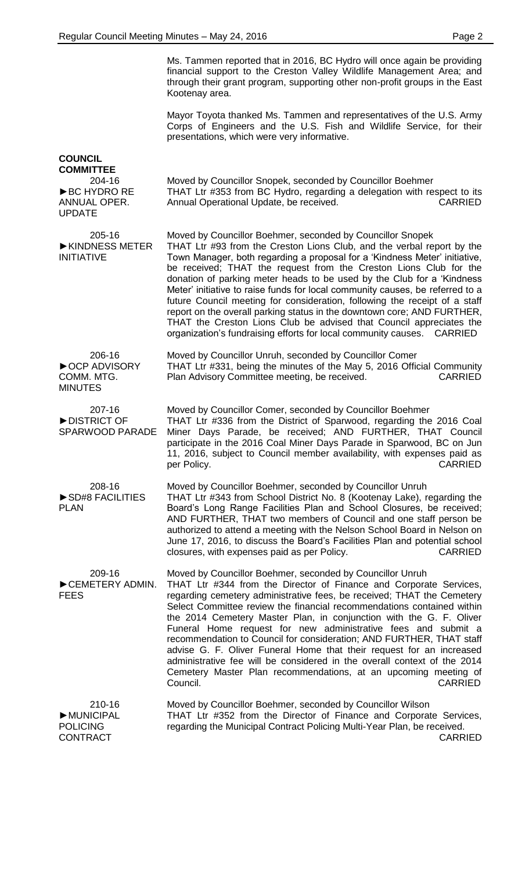| Ms. Tammen reported that in 2016, BC Hydro will once again be providing     |
|-----------------------------------------------------------------------------|
| financial support to the Creston Valley Wildlife Management Area; and       |
| through their grant program, supporting other non-profit groups in the East |
| Kootenay area.                                                              |

Mayor Toyota thanked Ms. Tammen and representatives of the U.S. Army Corps of Engineers and the U.S. Fish and Wildlife Service, for their presentations, which were very informative.

|                                                                                                | presentations, which were very imorniative.                                                                                                                                                                                                                                                                                                                                                                                                                                                                                                                                                                                                                                                                                                                            |
|------------------------------------------------------------------------------------------------|------------------------------------------------------------------------------------------------------------------------------------------------------------------------------------------------------------------------------------------------------------------------------------------------------------------------------------------------------------------------------------------------------------------------------------------------------------------------------------------------------------------------------------------------------------------------------------------------------------------------------------------------------------------------------------------------------------------------------------------------------------------------|
| <b>COUNCIL</b><br><b>COMMITTEE</b><br>204-16<br>▶ BC HYDRO RE<br>ANNUAL OPER.<br><b>UPDATE</b> | Moved by Councillor Snopek, seconded by Councillor Boehmer<br>THAT Ltr #353 from BC Hydro, regarding a delegation with respect to its<br>Annual Operational Update, be received.<br><b>CARRIED</b>                                                                                                                                                                                                                                                                                                                                                                                                                                                                                                                                                                     |
| 205-16<br>KINDNESS METER<br><b>INITIATIVE</b>                                                  | Moved by Councillor Boehmer, seconded by Councillor Snopek<br>THAT Ltr #93 from the Creston Lions Club, and the verbal report by the<br>Town Manager, both regarding a proposal for a 'Kindness Meter' initiative,<br>be received; THAT the request from the Creston Lions Club for the<br>donation of parking meter heads to be used by the Club for a 'Kindness<br>Meter' initiative to raise funds for local community causes, be referred to a<br>future Council meeting for consideration, following the receipt of a staff<br>report on the overall parking status in the downtown core; AND FURTHER,<br>THAT the Creston Lions Club be advised that Council appreciates the<br>organization's fundraising efforts for local community causes.<br><b>CARRIED</b> |
| 206-16<br>▶ OCP ADVISORY<br>COMM. MTG.<br><b>MINUTES</b>                                       | Moved by Councillor Unruh, seconded by Councillor Comer<br>THAT Ltr #331, being the minutes of the May 5, 2016 Official Community<br><b>CARRIED</b><br>Plan Advisory Committee meeting, be received.                                                                                                                                                                                                                                                                                                                                                                                                                                                                                                                                                                   |
| 207-16<br>DISTRICT OF<br><b>SPARWOOD PARADE</b>                                                | Moved by Councillor Comer, seconded by Councillor Boehmer<br>THAT Ltr #336 from the District of Sparwood, regarding the 2016 Coal<br>Miner Days Parade, be received; AND FURTHER, THAT Council<br>participate in the 2016 Coal Miner Days Parade in Sparwood, BC on Jun<br>11, 2016, subject to Council member availability, with expenses paid as<br><b>CARRIED</b><br>per Policy.                                                                                                                                                                                                                                                                                                                                                                                    |
| 208-16<br>SD#8 FACILITIES<br><b>PLAN</b>                                                       | Moved by Councillor Boehmer, seconded by Councillor Unruh<br>THAT Ltr #343 from School District No. 8 (Kootenay Lake), regarding the<br>Board's Long Range Facilities Plan and School Closures, be received;<br>AND FURTHER, THAT two members of Council and one staff person be<br>authorized to attend a meeting with the Nelson School Board in Nelson on<br>June 17, 2016, to discuss the Board's Facilities Plan and potential school<br>closures, with expenses paid as per Policy.<br><b>CARRIED</b>                                                                                                                                                                                                                                                            |
| 209-16<br>CEMETERY ADMIN.<br><b>FEES</b>                                                       | Moved by Councillor Boehmer, seconded by Councillor Unruh<br>THAT Ltr #344 from the Director of Finance and Corporate Services,<br>regarding cemetery administrative fees, be received; THAT the Cemetery<br>Select Committee review the financial recommendations contained within<br>the 2014 Cemetery Master Plan, in conjunction with the G. F. Oliver<br>Funeral Home request for new administrative fees and submit a<br>recommendation to Council for consideration; AND FURTHER, THAT staff<br>advise G. F. Oliver Funeral Home that their request for an increased<br>administrative fee will be considered in the overall context of the 2014<br>Cemetery Master Plan recommendations, at an upcoming meeting of<br>Council.<br><b>CARRIED</b>               |
| 210-16<br>MUNICIPAL<br><b>POLICING</b>                                                         | Moved by Councillor Boehmer, seconded by Councillor Wilson<br>THAT Ltr #352 from the Director of Finance and Corporate Services,<br>regarding the Municipal Contract Policing Multi-Year Plan, be received.                                                                                                                                                                                                                                                                                                                                                                                                                                                                                                                                                            |

**CONTRACT** 

CARRIED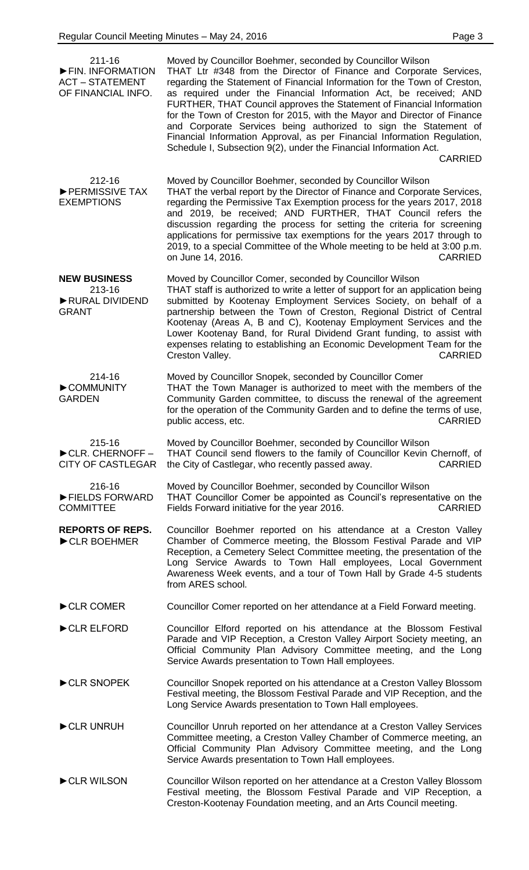| $211 - 16$<br>FIN. INFORMATION<br><b>ACT - STATEMENT</b><br>OF FINANCIAL INFO. | Moved by Councillor Boehmer, seconded by Councillor Wilson<br>THAT Ltr #348 from the Director of Finance and Corporate Services,<br>regarding the Statement of Financial Information for the Town of Creston,<br>as required under the Financial Information Act, be received; AND<br>FURTHER, THAT Council approves the Statement of Financial Information<br>for the Town of Creston for 2015, with the Mayor and Director of Finance<br>and Corporate Services being authorized to sign the Statement of<br>Financial Information Approval, as per Financial Information Regulation,<br>Schedule I, Subsection 9(2), under the Financial Information Act.<br><b>CARRIED</b> |
|--------------------------------------------------------------------------------|--------------------------------------------------------------------------------------------------------------------------------------------------------------------------------------------------------------------------------------------------------------------------------------------------------------------------------------------------------------------------------------------------------------------------------------------------------------------------------------------------------------------------------------------------------------------------------------------------------------------------------------------------------------------------------|
| 212-16<br>PERMISSIVE TAX<br><b>EXEMPTIONS</b>                                  | Moved by Councillor Boehmer, seconded by Councillor Wilson<br>THAT the verbal report by the Director of Finance and Corporate Services,<br>regarding the Permissive Tax Exemption process for the years 2017, 2018<br>and 2019, be received; AND FURTHER, THAT Council refers the<br>discussion regarding the process for setting the criteria for screening<br>applications for permissive tax exemptions for the years 2017 through to<br>2019, to a special Committee of the Whole meeting to be held at 3:00 p.m.<br>on June 14, 2016.<br><b>CARRIED</b>                                                                                                                   |
| <b>NEW BUSINESS</b><br>213-16<br>RURAL DIVIDEND<br><b>GRANT</b>                | Moved by Councillor Comer, seconded by Councillor Wilson<br>THAT staff is authorized to write a letter of support for an application being<br>submitted by Kootenay Employment Services Society, on behalf of a<br>partnership between the Town of Creston, Regional District of Central<br>Kootenay (Areas A, B and C), Kootenay Employment Services and the<br>Lower Kootenay Band, for Rural Dividend Grant funding, to assist with<br>expenses relating to establishing an Economic Development Team for the<br>Creston Valley.<br><b>CARRIED</b>                                                                                                                          |
| 214-16<br>COMMUNITY<br><b>GARDEN</b>                                           | Moved by Councillor Snopek, seconded by Councillor Comer<br>THAT the Town Manager is authorized to meet with the members of the<br>Community Garden committee, to discuss the renewal of the agreement<br>for the operation of the Community Garden and to define the terms of use,<br><b>CARRIED</b><br>public access, etc.                                                                                                                                                                                                                                                                                                                                                   |
| 215-16<br>CLR. CHERNOFF-<br><b>CITY OF CASTLEGAR</b>                           | Moved by Councillor Boehmer, seconded by Councillor Wilson<br>THAT Council send flowers to the family of Councillor Kevin Chernoff, of<br>the City of Castlegar, who recently passed away.<br><b>CARRIED</b>                                                                                                                                                                                                                                                                                                                                                                                                                                                                   |
| 216-16<br>FIELDS FORWARD<br><b>COMMITTEE</b>                                   | Moved by Councillor Boehmer, seconded by Councillor Wilson<br>THAT Councillor Comer be appointed as Council's representative on the<br>Fields Forward initiative for the year 2016.<br><b>CARRIED</b>                                                                                                                                                                                                                                                                                                                                                                                                                                                                          |
| <b>REPORTS OF REPS.</b><br>CLR BOEHMER                                         | Councillor Boehmer reported on his attendance at a Creston Valley<br>Chamber of Commerce meeting, the Blossom Festival Parade and VIP<br>Reception, a Cemetery Select Committee meeting, the presentation of the<br>Long Service Awards to Town Hall employees, Local Government<br>Awareness Week events, and a tour of Town Hall by Grade 4-5 students<br>from ARES school.                                                                                                                                                                                                                                                                                                  |
| CLR COMER                                                                      | Councillor Comer reported on her attendance at a Field Forward meeting.                                                                                                                                                                                                                                                                                                                                                                                                                                                                                                                                                                                                        |
| CLR ELFORD                                                                     | Councillor Elford reported on his attendance at the Blossom Festival<br>Parade and VIP Reception, a Creston Valley Airport Society meeting, an<br>Official Community Plan Advisory Committee meeting, and the Long<br>Service Awards presentation to Town Hall employees.                                                                                                                                                                                                                                                                                                                                                                                                      |
| CLR SNOPEK                                                                     | Councillor Snopek reported on his attendance at a Creston Valley Blossom<br>Festival meeting, the Blossom Festival Parade and VIP Reception, and the<br>Long Service Awards presentation to Town Hall employees.                                                                                                                                                                                                                                                                                                                                                                                                                                                               |
| CLR UNRUH                                                                      | Councillor Unruh reported on her attendance at a Creston Valley Services<br>Committee meeting, a Creston Valley Chamber of Commerce meeting, an<br>Official Community Plan Advisory Committee meeting, and the Long<br>Service Awards presentation to Town Hall employees.                                                                                                                                                                                                                                                                                                                                                                                                     |

►CLR WILSON Councillor Wilson reported on her attendance at a Creston Valley Blossom Festival meeting, the Blossom Festival Parade and VIP Reception, a Creston-Kootenay Foundation meeting, and an Arts Council meeting.